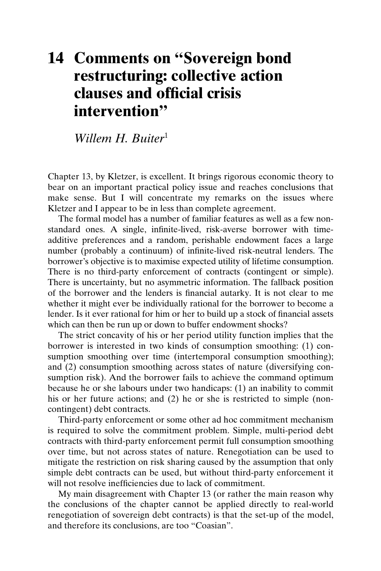## **14 Comments on "Sovereign bond restructuring: collective action clauses and official crisis intervention"**

*Willem H. Buiter*<sup>1</sup>

Chapter 13, by Kletzer, is excellent. It brings rigorous economic theory to bear on an important practical policy issue and reaches conclusions that make sense. But I will concentrate my remarks on the issues where Kletzer and I appear to be in less than complete agreement.

The formal model has a number of familiar features as well as a few nonstandard ones. A single, infinite-lived, risk-averse borrower with timeadditive preferences and a random, perishable endowment faces a large number (probably a continuum) of infinite-lived risk-neutral lenders. The borrower's objective is to maximise expected utility of lifetime consumption. There is no third-party enforcement of contracts (contingent or simple). There is uncertainty, but no asymmetric information. The fallback position of the borrower and the lenders is financial autarky. It is not clear to me whether it might ever be individually rational for the borrower to become a lender. Is it ever rational for him or her to build up a stock of financial assets which can then be run up or down to buffer endowment shocks?

The strict concavity of his or her period utility function implies that the borrower is interested in two kinds of consumption smoothing: (1) consumption smoothing over time (intertemporal consumption smoothing); and (2) consumption smoothing across states of nature (diversifying consumption risk). And the borrower fails to achieve the command optimum because he or she labours under two handicaps: (1) an inability to commit his or her future actions; and (2) he or she is restricted to simple (noncontingent) debt contracts.

Third-party enforcement or some other ad hoc commitment mechanism is required to solve the commitment problem. Simple, multi-period debt contracts with third-party enforcement permit full consumption smoothing over time, but not across states of nature. Renegotiation can be used to mitigate the restriction on risk sharing caused by the assumption that only simple debt contracts can be used, but without third-party enforcement it will not resolve inefficiencies due to lack of commitment.

My main disagreement with Chapter 13 (or rather the main reason why the conclusions of the chapter cannot be applied directly to real-world renegotiation of sovereign debt contracts) is that the set-up of the model, and therefore its conclusions, are too "Coasian".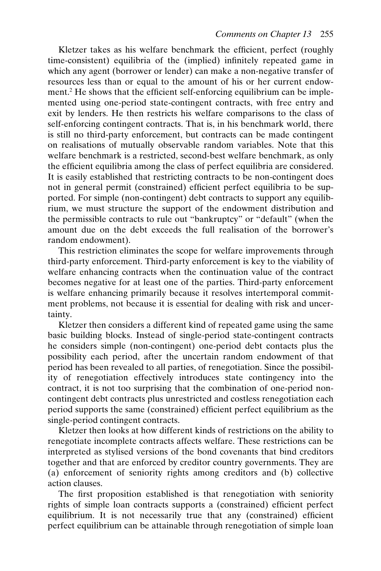Kletzer takes as his welfare benchmark the efficient, perfect (roughly time-consistent) equilibria of the (implied) infinitely repeated game in which any agent (borrower or lender) can make a non-negative transfer of resources less than or equal to the amount of his or her current endowment.<sup>2</sup> He shows that the efficient self-enforcing equilibrium can be implemented using one-period state-contingent contracts, with free entry and exit by lenders. He then restricts his welfare comparisons to the class of self-enforcing contingent contracts. That is, in his benchmark world, there is still no third-party enforcement, but contracts can be made contingent on realisations of mutually observable random variables. Note that this welfare benchmark is a restricted, second*-*best welfare benchmark, as only the efficient equilibria among the class of perfect equilibria are considered. It is easily established that restricting contracts to be non-contingent does not in general permit (constrained) efficient perfect equilibria to be supported. For simple (non-contingent) debt contracts to support any equilibrium, we must structure the support of the endowment distribution and the permissible contracts to rule out "bankruptcy" or "default" (when the amount due on the debt exceeds the full realisation of the borrower's random endowment).

This restriction eliminates the scope for welfare improvements through third-party enforcement. Third-party enforcement is key to the viability of welfare enhancing contracts when the continuation value of the contract becomes negative for at least one of the parties. Third-party enforcement is welfare enhancing primarily because it resolves intertemporal commitment problems, not because it is essential for dealing with risk and uncertainty.

Kletzer then considers a different kind of repeated game using the same basic building blocks. Instead of single-period state-contingent contracts he considers simple (non-contingent) one-period debt contacts plus the possibility each period, after the uncertain random endowment of that period has been revealed to all parties, of renegotiation. Since the possibility of renegotiation effectively introduces state contingency into the contract, it is not too surprising that the combination of one-period noncontingent debt contracts plus unrestricted and costless renegotiation each period supports the same (constrained) efficient perfect equilibrium as the single-period contingent contracts.

Kletzer then looks at how different kinds of restrictions on the ability to renegotiate incomplete contracts affects welfare. These restrictions can be interpreted as stylised versions of the bond covenants that bind creditors together and that are enforced by creditor country governments. They are (a) enforcement of seniority rights among creditors and (b) collective action clauses.

The first proposition established is that renegotiation with seniority rights of simple loan contracts supports a (constrained) efficient perfect equilibrium. It is not necessarily true that any (constrained) efficient perfect equilibrium can be attainable through renegotiation of simple loan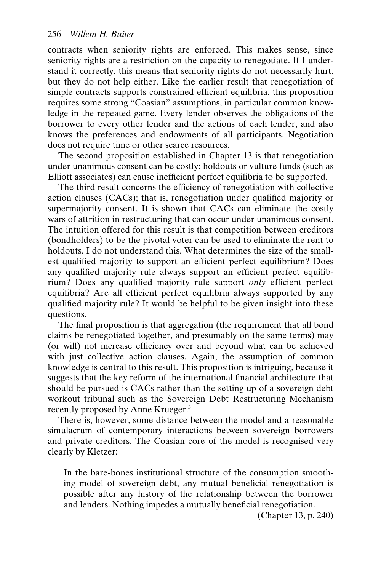contracts when seniority rights are enforced. This makes sense, since seniority rights are a restriction on the capacity to renegotiate. If I understand it correctly, this means that seniority rights do not necessarily hurt, but they do not help either. Like the earlier result that renegotiation of simple contracts supports constrained efficient equilibria, this proposition requires some strong "Coasian" assumptions, in particular common knowledge in the repeated game. Every lender observes the obligations of the borrower to every other lender and the actions of each lender, and also knows the preferences and endowments of all participants. Negotiation does not require time or other scarce resources.

The second proposition established in Chapter 13 is that renegotiation under unanimous consent can be costly: holdouts or vulture funds (such as Elliott associates) can cause inefficient perfect equilibria to be supported.

The third result concerns the efficiency of renegotiation with collective action clauses (CACs); that is, renegotiation under qualified majority or supermajority consent. It is shown that CACs can eliminate the costly wars of attrition in restructuring that can occur under unanimous consent. The intuition offered for this result is that competition between creditors (bondholders) to be the pivotal voter can be used to eliminate the rent to holdouts. I do not understand this. What determines the size of the smallest qualified majority to support an efficient perfect equilibrium? Does any qualified majority rule always support an efficient perfect equilibrium? Does any qualified majority rule support *only* efficient perfect equilibria? Are all efficient perfect equilibria always supported by any qualified majority rule? It would be helpful to be given insight into these questions.

The final proposition is that aggregation (the requirement that all bond claims be renegotiated together, and presumably on the same terms) may (or will) not increase efficiency over and beyond what can be achieved with just collective action clauses. Again, the assumption of common knowledge is central to this result. This proposition is intriguing, because it suggests that the key reform of the international financial architecture that should be pursued is CACs rather than the setting up of a sovereign debt workout tribunal such as the Sovereign Debt Restructuring Mechanism recently proposed by Anne Krueger.3

There is, however, some distance between the model and a reasonable simulacrum of contemporary interactions between sovereign borrowers and private creditors. The Coasian core of the model is recognised very clearly by Kletzer:

In the bare-bones institutional structure of the consumption smoothing model of sovereign debt, any mutual beneficial renegotiation is possible after any history of the relationship between the borrower and lenders. Nothing impedes a mutually beneficial renegotiation.

(Chapter 13, p. 240)